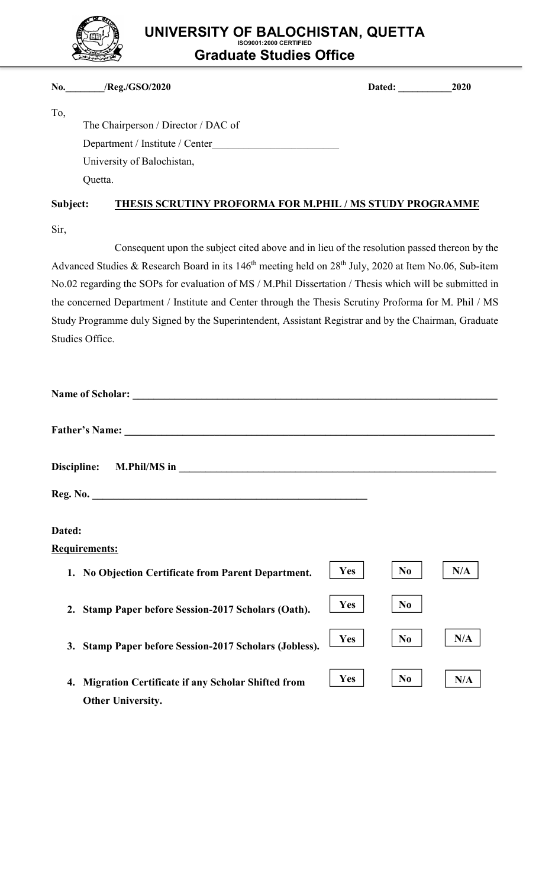

# UNIVERSITY OF BALOCHISTAN, QUETTA ISO9001:2000 CERTIFIED Graduate Studies Office

### No.\_\_\_\_\_\_\_\_/Reg./GSO/2020 Dated: \_\_\_\_\_\_\_\_\_\_\_2020

| ۰,<br>۰. |
|----------|
|----------|

 The Chairperson / Director / DAC of Department / Institute / Center University of Balochistan, Quetta.

## Subject: THESIS SCRUTINY PROFORMA FOR M.PHIL / MS STUDY PROGRAMME

Sir,

Consequent upon the subject cited above and in lieu of the resolution passed thereon by the Advanced Studies & Research Board in its 146<sup>th</sup> meeting held on 28<sup>th</sup> July, 2020 at Item No.06, Sub-item No.02 regarding the SOPs for evaluation of MS / M.Phil Dissertation / Thesis which will be submitted in the concerned Department / Institute and Center through the Thesis Scrutiny Proforma for M. Phil / MS Study Programme duly Signed by the Superintendent, Assistant Registrar and by the Chairman, Graduate Studies Office.

| Dated:                                                                                                   |                       |
|----------------------------------------------------------------------------------------------------------|-----------------------|
| <b>Requirements:</b>                                                                                     |                       |
| <b>Yes</b><br>1. No Objection Certificate from Parent Department.                                        | N/A<br>N <sub>0</sub> |
| <b>Yes</b><br>2. Stamp Paper before Session-2017 Scholars (Oath).                                        | N <sub>0</sub>        |
| <b>Yes</b><br>Stamp Paper before Session-2017 Scholars (Jobless).<br>3.                                  | N/A<br>N <sub>0</sub> |
| <b>Yes</b><br><b>Migration Certificate if any Scholar Shifted from</b><br>4.<br><b>Other University.</b> | N <sub>0</sub><br>N/A |